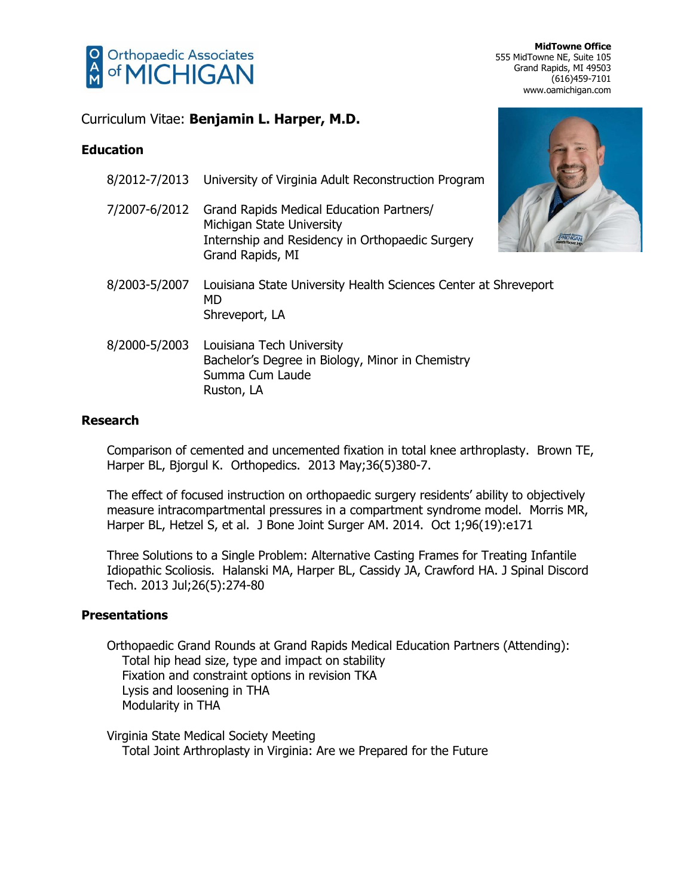

**MidTowne Office** 555 MidTowne NE, Suite 105 Grand Rapids, MI 49503 (616)459-7101 www.oamichigan.com

## Curriculum Vitae: **Benjamin L. Harper, M.D.**

## **Education**

|               | 8/2012-7/2013 University of Virginia Adult Reconstruction Program                                                                            |
|---------------|----------------------------------------------------------------------------------------------------------------------------------------------|
| 7/2007-6/2012 | Grand Rapids Medical Education Partners/<br>Michigan State University<br>Internship and Residency in Orthopaedic Surgery<br>Grand Rapids, MI |
| 8/2003-5/2007 | Louisiana State University Health Sciences Center at Shreveport<br><b>MD</b><br>Shreveport, LA                                               |
| 8/2000-5/2003 | Louisiana Tech University<br>Bachelor's Degree in Biology, Minor in Chemistry<br>Summa Cum Laude<br>Ruston, LA                               |

### **Research**

Comparison of cemented and uncemented fixation in total knee arthroplasty. Brown TE, Harper BL, Bjorgul K. Orthopedics. 2013 May;36(5)380-7.

The effect of focused instruction on orthopaedic surgery residents' ability to objectively measure intracompartmental pressures in a compartment syndrome model. Morris MR, Harper BL, Hetzel S, et al. J Bone Joint Surger AM. 2014. Oct 1;96(19):e171

Three Solutions to a Single Problem: Alternative Casting Frames for Treating Infantile Idiopathic Scoliosis. Halanski MA, Harper BL, Cassidy JA, Crawford HA. J Spinal Discord Tech. 2013 Jul;26(5):274-80

## **Presentations**

Orthopaedic Grand Rounds at Grand Rapids Medical Education Partners (Attending): Total hip head size, type and impact on stability Fixation and constraint options in revision TKA Lysis and loosening in THA Modularity in THA

Virginia State Medical Society Meeting Total Joint Arthroplasty in Virginia: Are we Prepared for the Future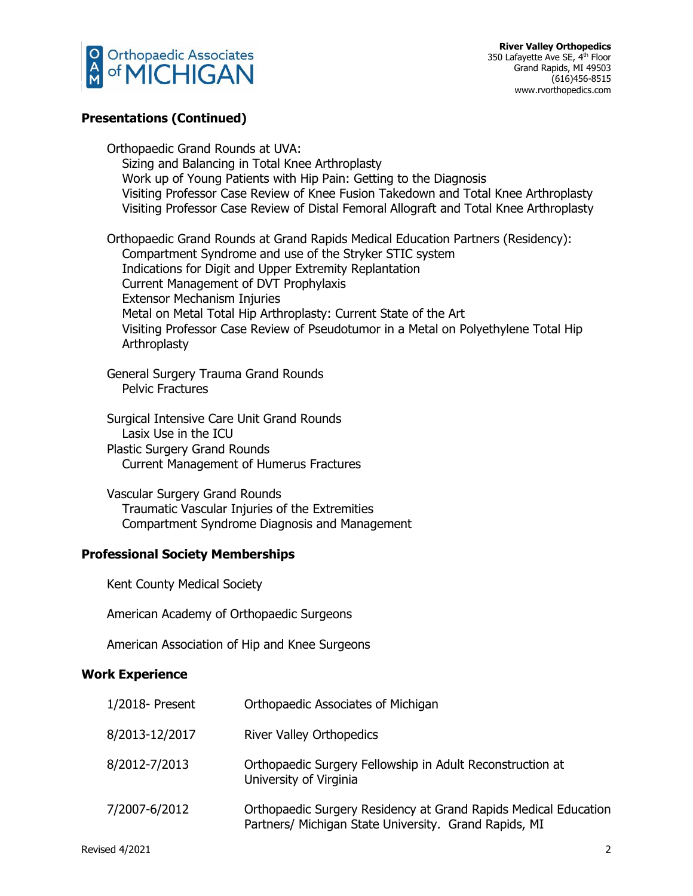

#### **Presentations (Continued)**

Orthopaedic Grand Rounds at UVA: Sizing and Balancing in Total Knee Arthroplasty Work up of Young Patients with Hip Pain: Getting to the Diagnosis Visiting Professor Case Review of Knee Fusion Takedown and Total Knee Arthroplasty Visiting Professor Case Review of Distal Femoral Allograft and Total Knee Arthroplasty

Orthopaedic Grand Rounds at Grand Rapids Medical Education Partners (Residency): Compartment Syndrome and use of the Stryker STIC system Indications for Digit and Upper Extremity Replantation Current Management of DVT Prophylaxis Extensor Mechanism Injuries Metal on Metal Total Hip Arthroplasty: Current State of the Art Visiting Professor Case Review of Pseudotumor in a Metal on Polyethylene Total Hip **Arthroplasty** 

General Surgery Trauma Grand Rounds Pelvic Fractures

Surgical Intensive Care Unit Grand Rounds Lasix Use in the ICU Plastic Surgery Grand Rounds Current Management of Humerus Fractures

Vascular Surgery Grand Rounds Traumatic Vascular Injuries of the Extremities Compartment Syndrome Diagnosis and Management

#### **Professional Society Memberships**

Kent County Medical Society

American Academy of Orthopaedic Surgeons

American Association of Hip and Knee Surgeons

#### **Work Experience**

| 1/2018- Present | Orthopaedic Associates of Michigan                                                                                       |
|-----------------|--------------------------------------------------------------------------------------------------------------------------|
| 8/2013-12/2017  | <b>River Valley Orthopedics</b>                                                                                          |
| 8/2012-7/2013   | Orthopaedic Surgery Fellowship in Adult Reconstruction at<br>University of Virginia                                      |
| 7/2007-6/2012   | Orthopaedic Surgery Residency at Grand Rapids Medical Education<br>Partners/ Michigan State University. Grand Rapids, MI |